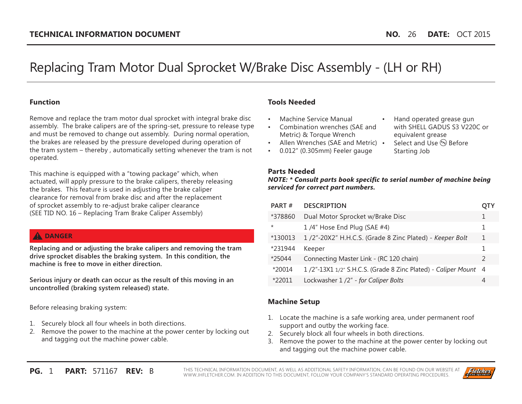# Replacing Tram Motor Dual Sprocket W/Brake Disc Assembly - (LH or RH)

#### **Function**

Remove and replace the tram motor dual sprocket with integral brake disc assembly. The brake calipers are of the spring-set, pressure to release type and must be removed to change out assembly. During normal operation, the brakes are released by the pressure developed during operation of the tram system – thereby , automatically setting whenever the tram is not operated.

This machine is equipped with a "towing package" which, when actuated, will apply pressure to the brake calipers, thereby releasing the brakes. This feature is used in adjusting the brake caliper clearance for removal from brake disc and after the replacement of sprocket assembly to re-adjust brake caliper clearance (SEE TID NO. 16 – Replacing Tram Brake Caliper Assembly)

#### **A** DANGER

**Replacing and or adjusting the brake calipers and removing the tram drive sprocket disables the braking system. In this condition, the machine is free to move in either direction.**

**Serious injury or death can occur as the result of this moving in an uncontrolled (braking system released) state.**

Before releasing braking system:

- 1. Securely block all four wheels in both directions.
- 2. Remove the power to the machine at the power center by locking out and tagging out the machine power cable.

# **Tools Needed**

- Machine Service Manual
- • Combination wrenches (SAE and Metric) & Torque Wrench
- Allen Wrenches (SAE and Metric) •
- • 0.012" (0.305mm) Feeler gauge
- Hand operated grease gun with SHELL GADUS S3 V220C or equivalent grease
- Select and Use (PE) Before Starting Job

#### **Parts Needed**

*NOTE: \* Consult parts book specific to serial number of machine being serviced for correct part numbers.*

| PART#   | <b>DESCRIPTION</b>                                              | O I Y         |
|---------|-----------------------------------------------------------------|---------------|
| *378860 | Dual Motor Sprocket w/Brake Disc                                |               |
| $\star$ | $1/4$ " Hose End Plug (SAE #4)                                  | 1             |
| *130013 | 1/2"-20X2" H.H.C.S. (Grade 8 Zinc Plated) - Keeper Bolt         | 1             |
| *231944 | Keeper                                                          | 1             |
| *25044  | Connecting Master Link - (RC 120 chain)                         | $\mathcal{P}$ |
| *20014  | 1/2"-13X1 1/2" S.H.C.S. (Grade 8 Zinc Plated) - Caliper Mount 4 |               |
| *22011  | Lockwasher 1 /2" - for Caliper Bolts                            | 4             |

# **Machine Setup**

- 1. Locate the machine is a safe working area, under permanent roof support and outby the working face.
- 2. Securely block all four wheels in both directions.
- 3. Remove the power to the machine at the power center by locking out and tagging out the machine power cable.

**PG.** 1 **PART:** 571167 **REV:** B THIS TECHNICAL INFORMATION DOCUMENT, AS WELL AS ADDITIONAL SAFETY INFORMATION, CAN BE FOUND ON OUR WEBSITE AT WWW.JHFLETCHER.COM. IN ADDITION TO THIS DOCUMENT, FOLLOW YOUR COMPANY'S STANDARD OPERATING PROCEDURES.

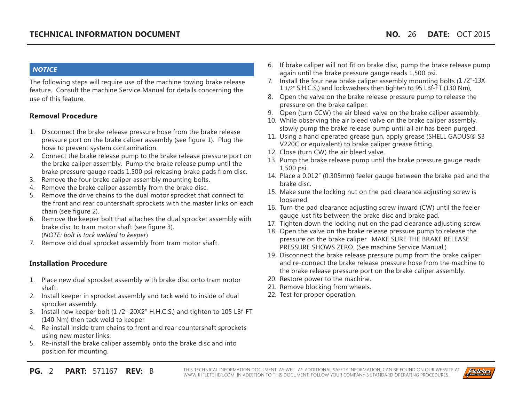#### *NOTICE*

The following steps will require use of the machine towing brake release feature. Consult the machine Service Manual for details concerning the use of this feature.

#### **Removal Procedure**

- 1. Disconnect the brake release pressure hose from the brake release pressure port on the brake caliper assembly (see figure 1). Plug the hose to prevent system contamination.
- 2. Connect the brake release pump to the brake release pressure port on the brake caliper assembly. Pump the brake release pump until the brake pressure gauge reads 1,500 psi releasing brake pads from disc.
- 3. Remove the four brake caliper assembly mounting bolts.
- 4. Remove the brake caliper assembly from the brake disc.
- 5. Remove the drive chains to the dual motor sprocket that connect to the front and rear countershaft sprockets with the master links on each chain (see figure 2).
- 6. Remove the keeper bolt that attaches the dual sprocket assembly with brake disc to tram motor shaft (see figure 3). (*NOTE: bolt is tack welded to keeper*)
- 7. Remove old dual sprocket assembly from tram motor shaft.

#### **Installation Procedure**

- 1. Place new dual sprocket assembly with brake disc onto tram motor shaft.
- 2. Install keeper in sprocket assembly and tack weld to inside of dual sprocker assembly.
- 3. Install new keeper bolt (1 /2"-20X2" H.H.C.S.) and tighten to 105 LBf-FT (140 Nm) then tack weld to keeper
- 4. Re-install inside tram chains to front and rear countershaft sprockets using new master links.
- 5. Re-install the brake caliper assembly onto the brake disc and into position for mounting.
- 6. If brake caliper will not fit on brake disc, pump the brake release pump again until the brake pressure gauge reads 1,500 psi.
- 7. Install the four new brake caliper assembly mounting bolts (1/2"-13X 1 1/2" S.H.C.S.) and lockwashers then tighten to 95 LBf-FT (130 Nm).
- 8. Open the valve on the brake release pressure pump to release the pressure on the brake caliper.
- 9. Open (turn CCW) the air bleed valve on the brake caliper assembly.
- 10. While observing the air bleed valve on the brake caliper assembly, slowly pump the brake release pump until all air has been purged.
- 11. Using a hand operated grease gun, apply grease (SHELL GADUS® S3 V220C or equivalent) to brake caliper grease fitting.
- 12. Close (turn CW) the air bleed valve.
- 13. Pump the brake release pump until the brake pressure gauge reads 1,500 psi.
- 14. Place a 0.012" (0.305mm) feeler gauge between the brake pad and the brake disc.
- 15. Make sure the locking nut on the pad clearance adjusting screw is loosened.
- 16. Turn the pad clearance adjusting screw inward (CW) until the feeler gauge just fits between the brake disc and brake pad.
- 17. Tighten down the locking nut on the pad clearance adjusting screw.
- 18. Open the valve on the brake release pressure pump to release the pressure on the brake caliper. MAKE SURE THE BRAKE RELEASE PRESSURE SHOWS ZERO. (See machine Service Manual.)
- 19. Disconnect the brake release pressure pump from the brake caliper and re-connect the brake release pressure hose from the machine to the brake release pressure port on the brake caliper assembly.
- 20. Restore power to the machine.
- 21. Remove blocking from wheels.
- 22. Test for proper operation.

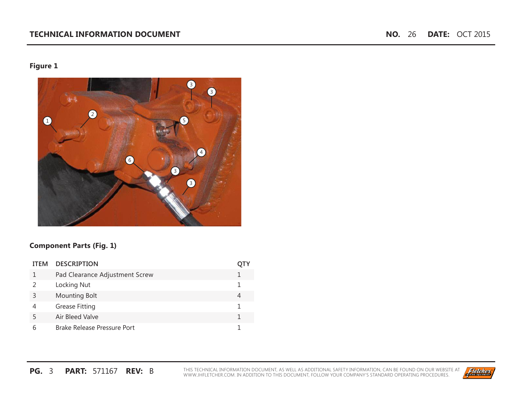# **Figure 1**



#### **Component Parts (Fig. 1)**

| <b>ITFM</b> | <b>DESCRIPTION</b>             |  |
|-------------|--------------------------------|--|
|             | Pad Clearance Adjustment Screw |  |
|             | Locking Nut                    |  |
|             | <b>Mounting Bolt</b>           |  |
|             | <b>Grease Fitting</b>          |  |
| 5           | Air Bleed Valve                |  |
|             | Brake Release Pressure Port    |  |

**PG. 3 PART: 571167 REV:** B THIS TECHNICAL INFORMATION DOCUMENT, AS WELL AS ADDITIONAL SAFETY INFORMATION, CAN BE FOUND ON OUR WEBSITE AT WWW.JHFLETCHER.COM. IN ADDITION TO THIS DOCUMENT, FOLLOW YOUR COMPANY'S STANDARD OPE

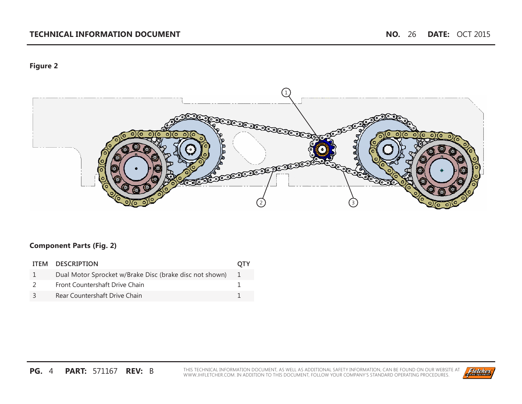#### **TECHNICAL INFORMATION DOCUMENT NO.** 26 **DATE:** OCT 2015

# **Figure 2**



#### **Component Parts (Fig. 2)**

| ITEM DESCRIPTION                                        | <b>OTY</b> |
|---------------------------------------------------------|------------|
| Dual Motor Sprocket w/Brake Disc (brake disc not shown) |            |
| Front Countershaft Drive Chain                          |            |
| Rear Countershaft Drive Chain                           |            |

**PG. 4 PART: 571167 REV:** B THIS TECHNICAL INFORMATION DOCUMENT, AS WELL AS ADDITIONAL SAFETY INFORMATION, CAN BE FOUND ON OUR WEBSITE AT WWW.JHFLETCHER.COM. IN ADDITION TO THIS DOCUMENT, FOLLOW YOUR COMPANY'S STANDARD OPE